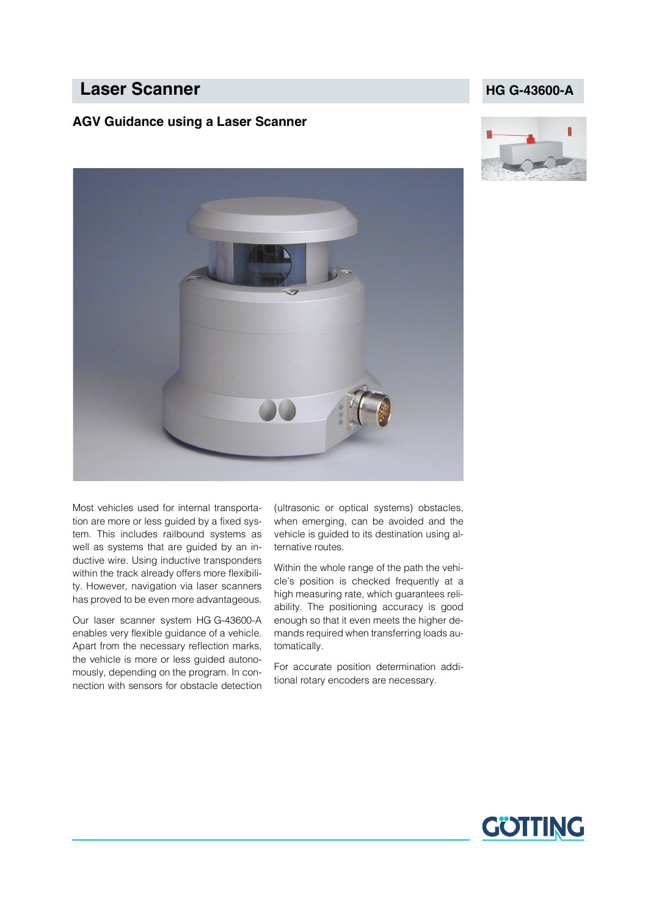# **Laser Scanner HG G-43600-A**

#### **AGV Guidance using a Laser Scanner**







Most vehicles used for internal transportation are more or less guided by a fixed system. This includes railbound systems as well as systems that are guided by an inductive wire. Using inductive transponders within the track already offers more flexibility. However, navigation via laser scanners has proved to be even more advantageous.

Our laser scanner system HG G-43600-A enables very flexible guidance of a vehicle. Apart from the necessary reflection marks, the vehicle is more or less guided autonomously, depending on the program. In connection with sensors for obstacle detection

(ultrasonic or optical systems) obstacles, when emerging, can be avoided and the vehicle is guided to its destination using alternative routes.

Within the whole range of the path the vehicle's position is checked frequently at a high measuring rate, which guarantees reliability. The positioning accuracy is good enough so that it even meets the higher demands required when transferring loads automatically.

For accurate position determination additional rotary encoders are necessary.